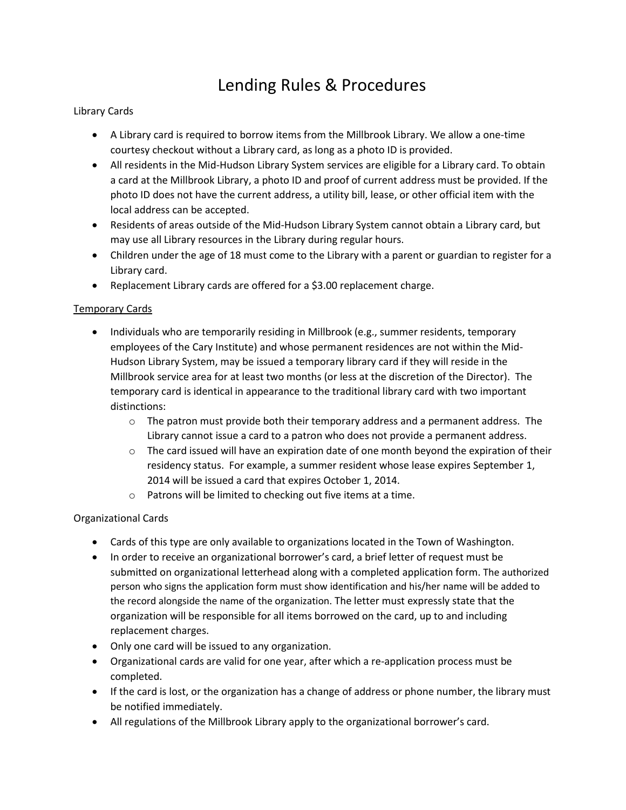## Lending Rules & Procedures

## Library Cards

- A Library card is required to borrow items from the Millbrook Library. We allow a one-time courtesy checkout without a Library card, as long as a photo ID is provided.
- All residents in the Mid-Hudson Library System services are eligible for a Library card. To obtain a card at the Millbrook Library, a photo ID and proof of current address must be provided. If the photo ID does not have the current address, a utility bill, lease, or other official item with the local address can be accepted.
- Residents of areas outside of the Mid-Hudson Library System cannot obtain a Library card, but may use all Library resources in the Library during regular hours.
- Children under the age of 18 must come to the Library with a parent or guardian to register for a Library card.
- Replacement Library cards are offered for a \$3.00 replacement charge.

## Temporary Cards

- Individuals who are temporarily residing in Millbrook (e.g., summer residents, temporary employees of the Cary Institute) and whose permanent residences are not within the Mid-Hudson Library System, may be issued a temporary library card if they will reside in the Millbrook service area for at least two months (or less at the discretion of the Director). The temporary card is identical in appearance to the traditional library card with two important distinctions:
	- $\circ$  The patron must provide both their temporary address and a permanent address. The Library cannot issue a card to a patron who does not provide a permanent address.
	- $\circ$  The card issued will have an expiration date of one month beyond the expiration of their residency status. For example, a summer resident whose lease expires September 1, 2014 will be issued a card that expires October 1, 2014.
	- o Patrons will be limited to checking out five items at a time.

## Organizational Cards

- Cards of this type are only available to organizations located in the Town of Washington.
- In order to receive an organizational borrower's card, a brief letter of request must be submitted on organizational letterhead along with a completed application form. The authorized person who signs the application form must show identification and his/her name will be added to the record alongside the name of the organization. The letter must expressly state that the organization will be responsible for all items borrowed on the card, up to and including replacement charges.
- Only one card will be issued to any organization.
- Organizational cards are valid for one year, after which a re-application process must be completed.
- If the card is lost, or the organization has a change of address or phone number, the library must be notified immediately.
- All regulations of the Millbrook Library apply to the organizational borrower's card.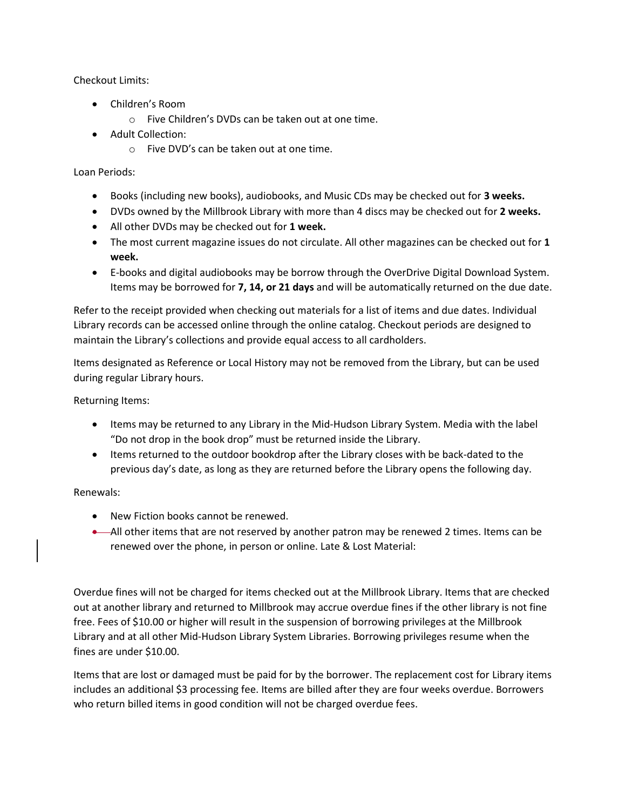Checkout Limits:

- Children's Room
	- o Five Children's DVDs can be taken out at one time.
- Adult Collection:
	- o Five DVD's can be taken out at one time.

Loan Periods:

- Books (including new books), audiobooks, and Music CDs may be checked out for **3 weeks.**
- DVDs owned by the Millbrook Library with more than 4 discs may be checked out for **2 weeks.**
- All other DVDs may be checked out for **1 week.**
- The most current magazine issues do not circulate. All other magazines can be checked out for **1 week.**
- E-books and digital audiobooks may be borrow through the OverDrive Digital Download System. Items may be borrowed for **7, 14, or 21 days** and will be automatically returned on the due date.

Refer to the receipt provided when checking out materials for a list of items and due dates. Individual Library records can be accessed online through the online catalog. Checkout periods are designed to maintain the Library's collections and provide equal access to all cardholders.

Items designated as Reference or Local History may not be removed from the Library, but can be used during regular Library hours.

Returning Items:

- Items may be returned to any Library in the Mid-Hudson Library System. Media with the label "Do not drop in the book drop" must be returned inside the Library.
- Items returned to the outdoor bookdrop after the Library closes with be back-dated to the previous day's date, as long as they are returned before the Library opens the following day.

Renewals:

- New Fiction books cannot be renewed.
- **All other items that are not reserved by another patron may be renewed 2 times. Items can be** renewed over the phone, in person or online. Late & Lost Material:

Overdue fines will not be charged for items checked out at the Millbrook Library. Items that are checked out at another library and returned to Millbrook may accrue overdue fines if the other library is not fine free. Fees of \$10.00 or higher will result in the suspension of borrowing privileges at the Millbrook Library and at all other Mid-Hudson Library System Libraries. Borrowing privileges resume when the fines are under \$10.00.

Items that are lost or damaged must be paid for by the borrower. The replacement cost for Library items includes an additional \$3 processing fee. Items are billed after they are four weeks overdue. Borrowers who return billed items in good condition will not be charged overdue fees.